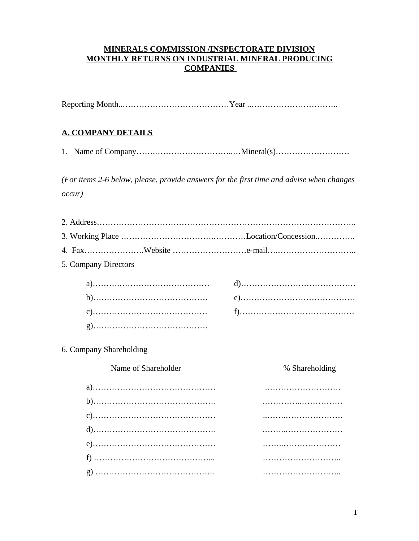#### **MINERALS COMMISSION /INSPECTORATE DIVISION MONTHLY RETURNS ON INDUSTRIAL MINERAL PRODUCING COMPANIES**

Reporting Month..…………………………………Year ..…………………………..

#### **A. COMPANY DETAILS**

1. Name of Company…….………………………..…Mineral(s)………………………

*(For items 2-6 below, please, provide answers for the first time and advise when changes occur)*

| 5. Company Directors    |                |
|-------------------------|----------------|
|                         |                |
|                         |                |
|                         |                |
|                         |                |
| 6. Company Shareholding |                |
| Name of Shareholder     | % Shareholding |
|                         |                |
|                         |                |
|                         |                |
|                         |                |
|                         |                |
|                         |                |
|                         |                |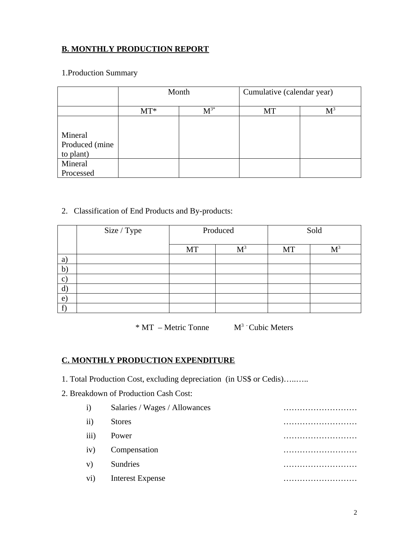## **B. MONTHLY PRODUCTION REPORT**

## 1.Production Summary

|                | Month  |          | Cumulative (calendar year) |                |
|----------------|--------|----------|----------------------------|----------------|
|                | $MT^*$ | $M^{3*}$ | MT                         | M <sup>3</sup> |
|                |        |          |                            |                |
| Mineral        |        |          |                            |                |
| Produced (mine |        |          |                            |                |
| to plant)      |        |          |                            |                |
| Mineral        |        |          |                            |                |
| Processed      |        |          |                            |                |

#### 2. Classification of End Products and By-products:

|   | Size / Type | Produced |       | Sold |                |
|---|-------------|----------|-------|------|----------------|
|   |             | MT       | $M^3$ | MT   | M <sup>3</sup> |
| a |             |          |       |      |                |
| b |             |          |       |      |                |
| C |             |          |       |      |                |
| a |             |          |       |      |                |
| e |             |          |       |      |                |
|   |             |          |       |      |                |

 $*$  MT – Metric Tonne  $M<sup>3</sup>$  Cubic Meters

#### **C. MONTHLY PRODUCTION EXPENDITURE**

- 1. Total Production Cost, excluding depreciation (in US\$ or Cedis)..........
- 2. Breakdown of Production Cash Cost:

| i)   | Salaries / Wages / Allowances | . |
|------|-------------------------------|---|
| ii)  | <b>Stores</b>                 |   |
| iii) | Power                         | . |
| iv)  | Compensation                  |   |
| V)   | <b>Sundries</b>               |   |
| vi)  | <b>Interest Expense</b>       |   |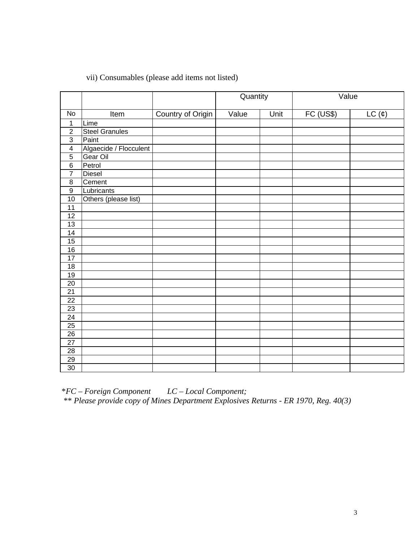### vii) Consumables (please add items not listed)

|                 |                        |                   | Quantity |      | Value     |               |
|-----------------|------------------------|-------------------|----------|------|-----------|---------------|
| No              | Item                   | Country of Origin | Value    | Unit | FC (US\$) | $LC$ $(\phi)$ |
| $\mathbf 1$     | Lime                   |                   |          |      |           |               |
| $\overline{2}$  | <b>Steel Granules</b>  |                   |          |      |           |               |
| $\overline{3}$  | Paint                  |                   |          |      |           |               |
| $\pmb{4}$       | Algaecide / Flocculent |                   |          |      |           |               |
| $\overline{5}$  | Gear Oil               |                   |          |      |           |               |
| $\overline{6}$  | Petrol                 |                   |          |      |           |               |
| $\overline{7}$  | Diesel                 |                   |          |      |           |               |
| $\overline{8}$  | Cement                 |                   |          |      |           |               |
| $\overline{9}$  | Lubricants             |                   |          |      |           |               |
| $10$            | Others (please list)   |                   |          |      |           |               |
| $\overline{11}$ |                        |                   |          |      |           |               |
| $12\,$          |                        |                   |          |      |           |               |
| $\overline{13}$ |                        |                   |          |      |           |               |
| 14              |                        |                   |          |      |           |               |
| $\overline{15}$ |                        |                   |          |      |           |               |
| $\overline{16}$ |                        |                   |          |      |           |               |
| $\overline{17}$ |                        |                   |          |      |           |               |
| $\overline{18}$ |                        |                   |          |      |           |               |
| $19$            |                        |                   |          |      |           |               |
| $\overline{20}$ |                        |                   |          |      |           |               |
| $\overline{21}$ |                        |                   |          |      |           |               |
| $\overline{22}$ |                        |                   |          |      |           |               |
| $\overline{23}$ |                        |                   |          |      |           |               |
| $\overline{24}$ |                        |                   |          |      |           |               |
| $\overline{25}$ |                        |                   |          |      |           |               |
| $\overline{26}$ |                        |                   |          |      |           |               |
| $\overline{27}$ |                        |                   |          |      |           |               |
| $\overline{28}$ |                        |                   |          |      |           |               |
| $\overline{29}$ |                        |                   |          |      |           |               |
| $\overline{30}$ |                        |                   |          |      |           |               |

\**FC – Foreign Component LC – Local Component;* \*\* *Please provide copy of Mines Department Explosives Returns - ER 1970, Reg. 40(3)*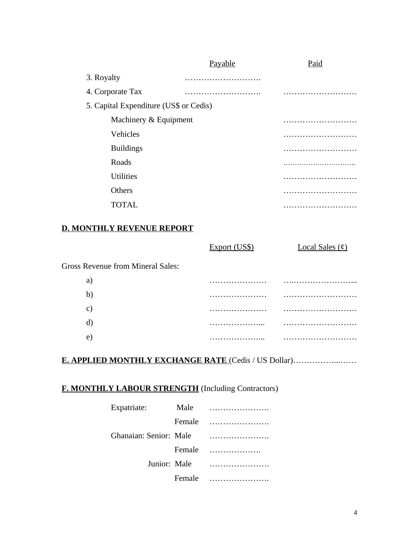|                                        | <b>Payable</b> | Paid |
|----------------------------------------|----------------|------|
| 3. Royalty                             |                |      |
| 4. Corporate Tax                       |                |      |
| 5. Capital Expenditure (US\$ or Cedis) |                |      |
| Machinery & Equipment                  |                | .    |
| <b>Vehicles</b>                        |                |      |
| <b>Buildings</b>                       |                |      |
| Roads                                  |                |      |
| <b>Utilities</b>                       |                |      |
| Others                                 |                |      |
| <b>TOTAL</b>                           |                |      |
|                                        |                |      |

#### **D. MONTHLY REVENUE REPORT**

|                                          | Export (US\$) | Local Sales $($ 0) |
|------------------------------------------|---------------|--------------------|
| <b>Gross Revenue from Mineral Sales:</b> |               |                    |
| a)                                       |               |                    |
| $\mathbf{b}$                             |               | .                  |
| $\mathbf{C}$                             |               |                    |
| $\mathbf{d}$                             |               |                    |
| e)                                       |               |                    |
|                                          |               |                    |

## **E. APPLIED MONTHLY EXCHANGE RATE** (Cedis / US Dollar)……………...……

# **F. MONTHLY LABOUR STRENGTH** (Including Contractors)

| Expatriate:            | Male   |   |
|------------------------|--------|---|
|                        | Female |   |
| Ghanaian: Senior: Male |        |   |
|                        | Female | . |
| Junior: Male           |        |   |
|                        | Female |   |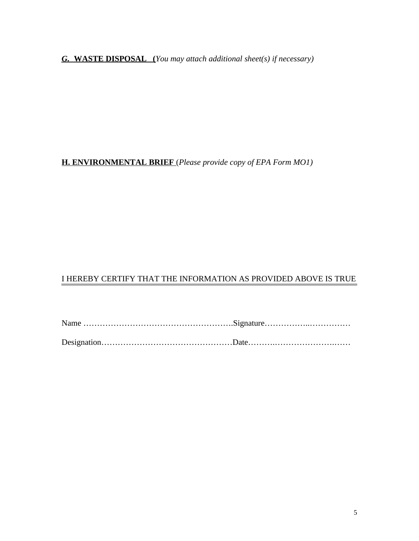*G.* **WASTE DISPOSAL (***You may attach additional sheet(s) if necessary)*

**H. ENVIRONMENTAL BRIEF** (*Please provide copy of EPA Form MO1)*

## I HEREBY CERTIFY THAT THE INFORMATION AS PROVIDED ABOVE IS TRUE